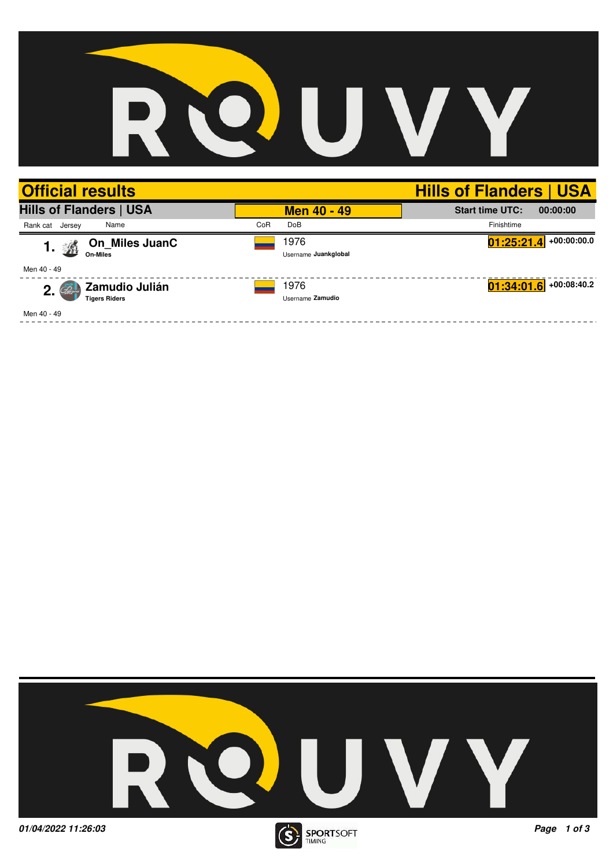## QUV R

| <b>Official results</b>                      |     |                              | <b>Hills of Flanders   USA</b>     |
|----------------------------------------------|-----|------------------------------|------------------------------------|
| <b>Hills of Flanders   USA</b>               |     | <b>Men 40 - 49</b>           | <b>Start time UTC:</b><br>00:00:00 |
| Name<br>Rank cat Jersey                      | CoR | <b>DoB</b>                   | Finishtime                         |
| On_Miles JuanC<br>A<br>1.<br><b>On-Miles</b> |     | 1976<br>Username Juankglobal | $01:25:21.4$ +00:00:00.0           |
| Men 40 - 49                                  |     |                              |                                    |
| Zamudio Julián<br>2.<br><b>Tigers Riders</b> |     | 1976<br>Username Zamudio     | $01:34:01.6$ +00:08:40.2           |
| Men 40 - 49                                  |     |                              |                                    |

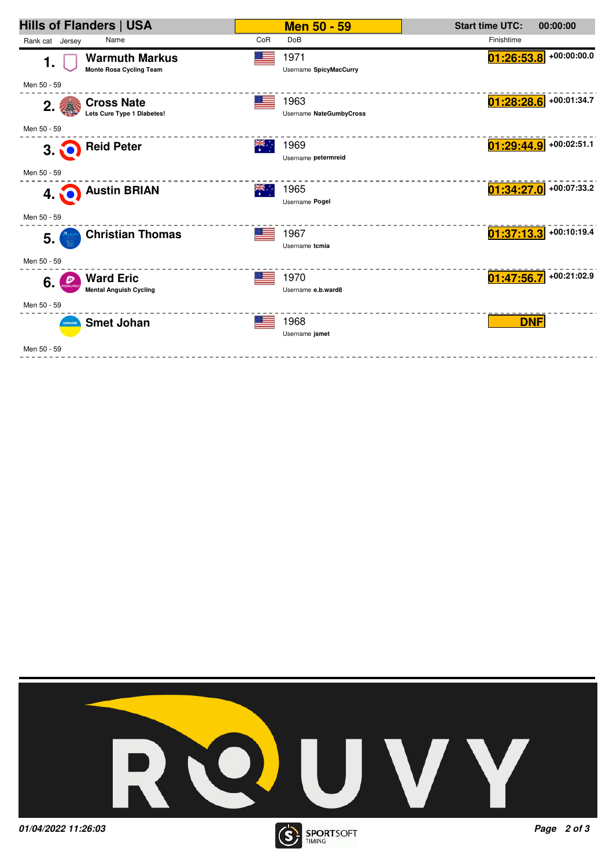